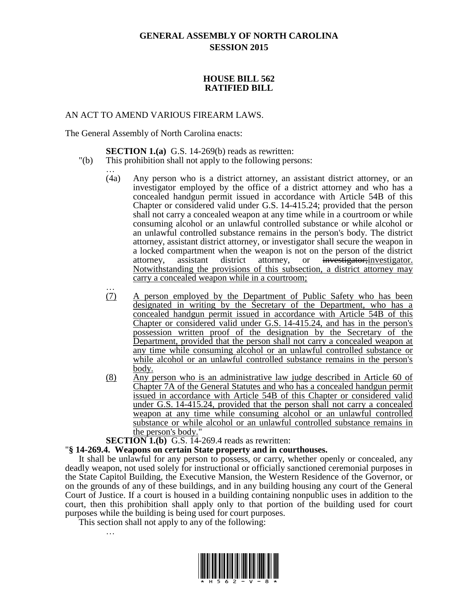# **GENERAL ASSEMBLY OF NORTH CAROLINA SESSION 2015**

## **HOUSE BILL 562 RATIFIED BILL**

## AN ACT TO AMEND VARIOUS FIREARM LAWS.

The General Assembly of North Carolina enacts:

## **SECTION 1.(a)** G.S. 14-269(b) reads as rewritten:

- "(b) This prohibition shall not apply to the following persons:
	- … (4a) Any person who is a district attorney, an assistant district attorney, or an investigator employed by the office of a district attorney and who has a concealed handgun permit issued in accordance with Article 54B of this Chapter or considered valid under G.S. 14-415.24; provided that the person shall not carry a concealed weapon at any time while in a courtroom or while consuming alcohol or an unlawful controlled substance or while alcohol or an unlawful controlled substance remains in the person's body. The district attorney, assistant district attorney, or investigator shall secure the weapon in a locked compartment when the weapon is not on the person of the district attorney, assistant district attorney, or investigator;investigator. Notwithstanding the provisions of this subsection, a district attorney may carry a concealed weapon while in a courtroom;
	- … (7) A person employed by the Department of Public Safety who has been designated in writing by the Secretary of the Department, who has a concealed handgun permit issued in accordance with Article 54B of this Chapter or considered valid under G.S. 14-415.24, and has in the person's possession written proof of the designation by the Secretary of the Department, provided that the person shall not carry a concealed weapon at any time while consuming alcohol or an unlawful controlled substance or while alcohol or an unlawful controlled substance remains in the person's body.
	- (8) Any person who is an administrative law judge described in Article 60 of Chapter 7A of the General Statutes and who has a concealed handgun permit issued in accordance with Article 54B of this Chapter or considered valid under G.S. 14-415.24, provided that the person shall not carry a concealed weapon at any time while consuming alcohol or an unlawful controlled substance or while alcohol or an unlawful controlled substance remains in the person's body."

#### **SECTION 1.(b)** G.S. 14-269.4 reads as rewritten:

## "**§ 14-269.4. Weapons on certain State property and in courthouses.**

It shall be unlawful for any person to possess, or carry, whether openly or concealed, any deadly weapon, not used solely for instructional or officially sanctioned ceremonial purposes in the State Capitol Building, the Executive Mansion, the Western Residence of the Governor, or on the grounds of any of these buildings, and in any building housing any court of the General Court of Justice. If a court is housed in a building containing nonpublic uses in addition to the court, then this prohibition shall apply only to that portion of the building used for court purposes while the building is being used for court purposes.

This section shall not apply to any of the following: …

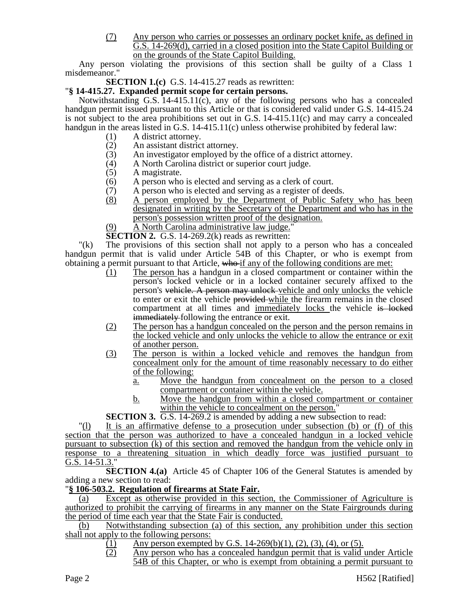(7) Any person who carries or possesses an ordinary pocket knife, as defined in G.S. 14-269(d), carried in a closed position into the State Capitol Building or on the grounds of the State Capitol Building.

Any person violating the provisions of this section shall be guilty of a Class 1 misdemeanor."

**SECTION 1.(c)** G.S. 14-415.27 reads as rewritten:

## "**§ 14-415.27. Expanded permit scope for certain persons.**

Notwithstanding G.S.  $14-415.11(c)$ , any of the following persons who has a concealed handgun permit issued pursuant to this Article or that is considered valid under G.S. 14-415.24 is not subject to the area prohibitions set out in G.S.  $14-415.11(c)$  and may carry a concealed handgun in the areas listed in G.S. 14-415.11(c) unless otherwise prohibited by federal law:

- (1) A district attorney.
- (2) An assistant district attorney.<br>
(3) An investigator employed by
- An investigator employed by the office of a district attorney.
- (4) A North Carolina district or superior court judge.
- (5) A magistrate.
- (6) A person who is elected and serving as a clerk of court.<br>(7) A person who is elected and serving as a register of dee
- (7) A person who is elected and serving as a register of deeds.<br>(8) A person employed by the Department of Public Safe
- A person employed by the Department of Public Safety who has been designated in writing by the Secretary of the Department and who has in the person's possession written proof of the designation.
- (9) A North Carolina administrative law judge."
- **SECTION 2.** G.S. 14-269.2(k) reads as rewritten:

"(k) The provisions of this section shall not apply to a person who has a concealed handgun permit that is valid under Article 54B of this Chapter, or who is exempt from obtaining a permit pursuant to that Article, who if any of the following conditions are met:

- (1) The person has a handgun in a closed compartment or container within the person's locked vehicle or in a locked container securely affixed to the person's vehicle. A person may unlock vehicle and only unlocks the vehicle to enter or exit the vehicle provided while the firearm remains in the closed compartment at all times and immediately locks the vehicle is locked **immediately** following the entrance or exit.
- (2) The person has a handgun concealed on the person and the person remains in the locked vehicle and only unlocks the vehicle to allow the entrance or exit of another person.
- (3) The person is within a locked vehicle and removes the handgun from concealment only for the amount of time reasonably necessary to do either of the following:
	- a. Move the handgun from concealment on the person to a closed compartment or container within the vehicle.
	- b. Move the handgun from within a closed compartment or container within the vehicle to concealment on the person."

**SECTION 3.** G.S. 14-269.2 is amended by adding a new subsection to read:

"(l) It is an affirmative defense to a prosecution under subsection (b) or (f) of this section that the person was authorized to have a concealed handgun in a locked vehicle pursuant to subsection (k) of this section and removed the handgun from the vehicle only in response to a threatening situation in which deadly force was justified pursuant to G.S. 14-51.3."

**SECTION 4.(a)** Article 45 of Chapter 106 of the General Statutes is amended by adding a new section to read:

## "**§ 106-503.2. Regulation of firearms at State Fair.**

(a) Except as otherwise provided in this section, the Commissioner of Agriculture is authorized to prohibit the carrying of firearms in any manner on the State Fairgrounds during the period of time each year that the State Fair is conducted.

(b) Notwithstanding subsection (a) of this section, any prohibition under this section shall not apply to the following persons:

- (1) Any person exempted by G.S. 14-269(b)(1), (2), (3), (4), or (5).
- (2) Any person who has a concealed handgun permit that is valid under Article 54B of this Chapter, or who is exempt from obtaining a permit pursuant to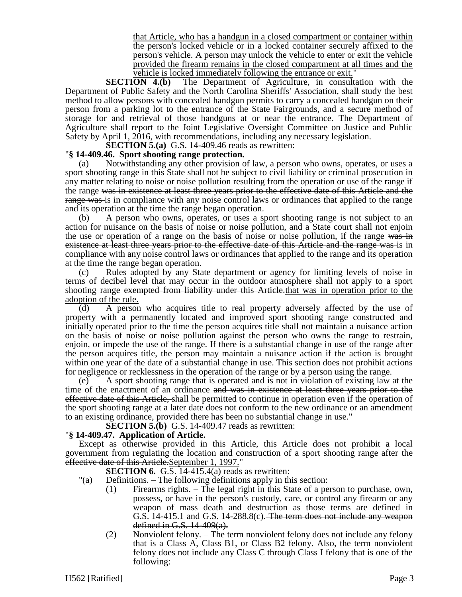that Article, who has a handgun in a closed compartment or container within the person's locked vehicle or in a locked container securely affixed to the person's vehicle. A person may unlock the vehicle to enter or exit the vehicle provided the firearm remains in the closed compartment at all times and the vehicle is locked immediately following the entrance or exit."

**SECTION 4.(b)** The Department of Agriculture, in consultation with the Department of Public Safety and the North Carolina Sheriffs' Association, shall study the best method to allow persons with concealed handgun permits to carry a concealed handgun on their person from a parking lot to the entrance of the State Fairgrounds, and a secure method of storage for and retrieval of those handguns at or near the entrance. The Department of Agriculture shall report to the Joint Legislative Oversight Committee on Justice and Public Safety by April 1, 2016, with recommendations, including any necessary legislation.

**SECTION 5.(a)** G.S. 14-409.46 reads as rewritten:

## "**§ 14-409.46. Sport shooting range protection.**

(a) Notwithstanding any other provision of law, a person who owns, operates, or uses a sport shooting range in this State shall not be subject to civil liability or criminal prosecution in any matter relating to noise or noise pollution resulting from the operation or use of the range if the range was in existence at least three years prior to the effective date of this Article and the range was is in compliance with any noise control laws or ordinances that applied to the range and its operation at the time the range began operation.

(b) A person who owns, operates, or uses a sport shooting range is not subject to an action for nuisance on the basis of noise or noise pollution, and a State court shall not enjoin the use or operation of a range on the basis of noise or noise pollution, if the range was in existence at least three years prior to the effective date of this Article and the range was is in compliance with any noise control laws or ordinances that applied to the range and its operation at the time the range began operation.

(c) Rules adopted by any State department or agency for limiting levels of noise in terms of decibel level that may occur in the outdoor atmosphere shall not apply to a sport shooting range exempted from liability under this Article that was in operation prior to the adoption of the rule.

(d) A person who acquires title to real property adversely affected by the use of property with a permanently located and improved sport shooting range constructed and initially operated prior to the time the person acquires title shall not maintain a nuisance action on the basis of noise or noise pollution against the person who owns the range to restrain, enjoin, or impede the use of the range. If there is a substantial change in use of the range after the person acquires title, the person may maintain a nuisance action if the action is brought within one year of the date of a substantial change in use. This section does not prohibit actions for negligence or recklessness in the operation of the range or by a person using the range.

(e) A sport shooting range that is operated and is not in violation of existing law at the time of the enactment of an ordinance and was in existence at least three years prior to the effective date of this Article, shall be permitted to continue in operation even if the operation of the sport shooting range at a later date does not conform to the new ordinance or an amendment to an existing ordinance, provided there has been no substantial change in use."

**SECTION 5.(b)** G.S. 14-409.47 reads as rewritten:

#### "**§ 14-409.47. Application of Article.**

Except as otherwise provided in this Article, this Article does not prohibit a local government from regulating the location and construction of a sport shooting range after the effective date of this Article.September 1, 1997."

**SECTION 6.** G.S. 14-415.4(a) reads as rewritten:

- "(a) Definitions. The following definitions apply in this section:
	- (1) Firearms rights. The legal right in this State of a person to purchase, own, possess, or have in the person's custody, care, or control any firearm or any weapon of mass death and destruction as those terms are defined in G.S.  $14-415.1$  and G.S.  $14-288.8(c)$ . The term does not include any weapon defined in G.S.  $14-409(a)$ .
	- (2) Nonviolent felony. The term nonviolent felony does not include any felony that is a Class A, Class B1, or Class B2 felony. Also, the term nonviolent felony does not include any Class C through Class I felony that is one of the following: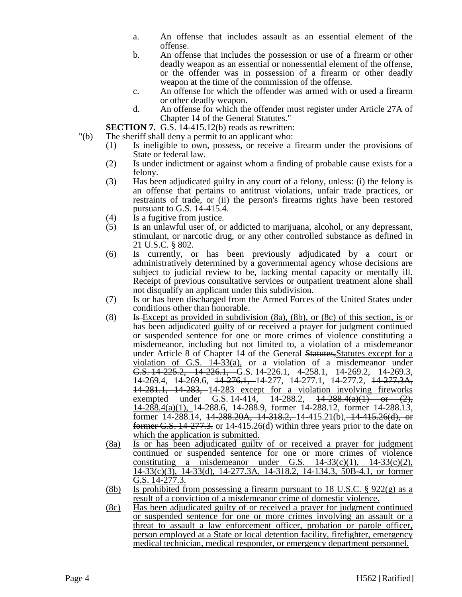- a. An offense that includes assault as an essential element of the offense.
- b. An offense that includes the possession or use of a firearm or other deadly weapon as an essential or nonessential element of the offense, or the offender was in possession of a firearm or other deadly weapon at the time of the commission of the offense.
- c. An offense for which the offender was armed with or used a firearm or other deadly weapon.
- d. An offense for which the offender must register under Article 27A of Chapter 14 of the General Statutes."

**SECTION 7.** G.S. 14-415.12(b) reads as rewritten:

- "(b) The sheriff shall deny a permit to an applicant who:
	- (1) Is ineligible to own, possess, or receive a firearm under the provisions of State or federal law.
	- (2) Is under indictment or against whom a finding of probable cause exists for a felony.
	- (3) Has been adjudicated guilty in any court of a felony, unless: (i) the felony is an offense that pertains to antitrust violations, unfair trade practices, or restraints of trade, or (ii) the person's firearms rights have been restored pursuant to G.S. 14-415.4.
	- (4) Is a fugitive from justice.
	- (5) Is an unlawful user of, or addicted to marijuana, alcohol, or any depressant, stimulant, or narcotic drug, or any other controlled substance as defined in 21 U.S.C. § 802.
	- (6) Is currently, or has been previously adjudicated by a court or administratively determined by a governmental agency whose decisions are subject to judicial review to be, lacking mental capacity or mentally ill. Receipt of previous consultative services or outpatient treatment alone shall not disqualify an applicant under this subdivision.
	- (7) Is or has been discharged from the Armed Forces of the United States under conditions other than honorable.
	- (8) Is Except as provided in subdivision (8a), (8b), or (8c) of this section, is or has been adjudicated guilty of or received a prayer for judgment continued or suspended sentence for one or more crimes of violence constituting a misdemeanor, including but not limited to, a violation of a misdemeanor under Article 8 of Chapter 14 of the General Statutes, Statutes except for a violation of G.S. 14-33(a), or a violation of a misdemeanor under G.S. 14-225.2, 14-226.1, G.S. 14-226.1, 4-258.1, 14-269.2, 14-269.3, 14-269.4, 14-269.6, <del>14-276.1, </del>14-277, 14-277.1, 14-277.2, <del>14-277.3A,</del> 14-281.1, 14-283, 14-283 except for a violation involving fireworks exempted under G.S. 14-414, 14-288.2,  $\frac{14-288.4(a)(1)}{14-288.4(a)(1)}$  or (2), 14-288.4(a)(1), 14-288.6, 14-288.9, former 14-288.12, former 14-288.13, former 14-288.14, 14-288.20A, 14-318.2, 14-415.21(b), 14-415.26(d), or former G.S. 14-277.3. or 14-415.26(d) within three years prior to the date on which the application is submitted.
	- (8a) Is or has been adjudicated guilty of or received a prayer for judgment continued or suspended sentence for one or more crimes of violence constituting a misdemeanor under G.S.  $14-33(c)(1)$ ,  $14-33(c)(2)$ , 14-33(c)(3), 14-33(d), 14-277.3A, 14-318.2, 14-134.3, 50B-4.1, or former G.S. 14-277.3.
	- (8b) Is prohibited from possessing a firearm pursuant to 18 U.S.C.  $\S$  922(g) as a result of a conviction of a misdemeanor crime of domestic violence.
	- (8c) Has been adjudicated guilty of or received a prayer for judgment continued or suspended sentence for one or more crimes involving an assault or a threat to assault a law enforcement officer, probation or parole officer, person employed at a State or local detention facility, firefighter, emergency medical technician, medical responder, or emergency department personnel.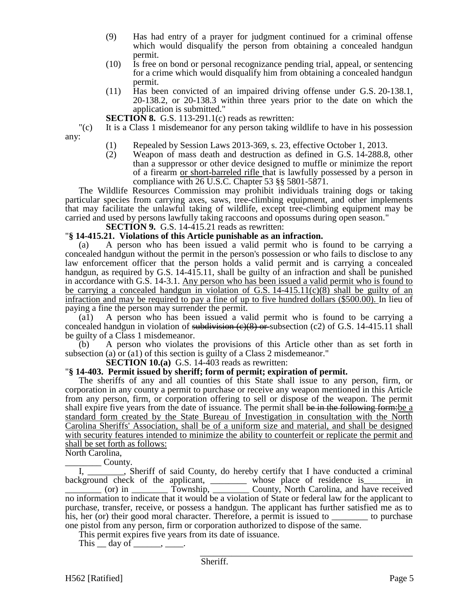- (9) Has had entry of a prayer for judgment continued for a criminal offense which would disqualify the person from obtaining a concealed handgun permit.
- (10) Is free on bond or personal recognizance pending trial, appeal, or sentencing for a crime which would disqualify him from obtaining a concealed handgun permit.
- (11) Has been convicted of an impaired driving offense under G.S. 20-138.1, 20-138.2, or 20-138.3 within three years prior to the date on which the application is submitted."

**SECTION 8.** G.S. 113-291.1(c) reads as rewritten:

"(c) It is a Class 1 misdemeanor for any person taking wildlife to have in his possession any:

- (1) Repealed by Session Laws 2013-369, s. 23, effective October 1, 2013.<br>(2) Weapon of mass death and destruction as defined in G.S. 14-288.8
- Weapon of mass death and destruction as defined in G.S. 14-288.8, other than a suppressor or other device designed to muffle or minimize the report of a firearm or short-barreled rifle that is lawfully possessed by a person in compliance with 26 U.S.C. Chapter 53 §§ 5801-5871.

The Wildlife Resources Commission may prohibit individuals training dogs or taking particular species from carrying axes, saws, tree-climbing equipment, and other implements that may facilitate the unlawful taking of wildlife, except tree-climbing equipment may be carried and used by persons lawfully taking raccoons and opossums during open season."

**SECTION 9.** G.S. 14-415.21 reads as rewritten:

#### "**§ 14-415.21. Violations of this Article punishable as an infraction.**

(a) A person who has been issued a valid permit who is found to be carrying a concealed handgun without the permit in the person's possession or who fails to disclose to any law enforcement officer that the person holds a valid permit and is carrying a concealed handgun, as required by G.S. 14-415.11, shall be guilty of an infraction and shall be punished in accordance with G.S. 14-3.1. Any person who has been issued a valid permit who is found to be carrying a concealed handgun in violation of G.S.  $14-415.11(c)(8)$  shall be guilty of an infraction and may be required to pay a fine of up to five hundred dollars (\$500.00). In lieu of paying a fine the person may surrender the permit.

(a1) A person who has been issued a valid permit who is found to be carrying a concealed handgun in violation of subdivision  $\left(\frac{e}{8}\right)$  or subsection (c2) of G.S. 14-415.11 shall be guilty of a Class 1 misdemeanor.

(b) A person who violates the provisions of this Article other than as set forth in subsection (a) or (a1) of this section is guilty of a Class 2 misdemeanor."

**SECTION 10.(a)** G.S. 14-403 reads as rewritten:

#### "**§ 14-403. Permit issued by sheriff; form of permit; expiration of permit.**

The sheriffs of any and all counties of this State shall issue to any person, firm, or corporation in any county a permit to purchase or receive any weapon mentioned in this Article from any person, firm, or corporation offering to sell or dispose of the weapon. The permit shall expire five years from the date of issuance. The permit shall be in the following form: be a standard form created by the State Bureau of Investigation in consultation with the North Carolina Sheriffs' Association, shall be of a uniform size and material, and shall be designed with security features intended to minimize the ability to counterfeit or replicate the permit and shall be set forth as follows:

North Carolina,

\_\_\_\_\_\_\_\_ County.

I, \_\_\_\_\_\_\_\_, Sheriff of said County, do hereby certify that I have conducted a criminal background check of the applicant, whose place of residence is in \_\_\_\_\_\_\_\_ (or) in \_\_\_\_\_\_\_\_ Township, \_\_\_\_\_\_\_\_ County, North Carolina, and have received no information to indicate that it would be a violation of State or federal law for the applicant to purchase, transfer, receive, or possess a handgun. The applicant has further satisfied me as to his, her (or) their good moral character. Therefore, a permit is issued to \_\_\_\_\_\_\_\_\_ to purchase one pistol from any person, firm or corporation authorized to dispose of the same.

This permit expires five years from its date of issuance.

This  $\_\_$  day of  $\_\_\_\_\_\_\$ .

\_\_\_\_\_\_\_\_\_\_\_\_\_\_\_\_\_\_\_\_\_\_\_\_\_\_\_\_\_\_\_\_\_\_\_\_\_\_\_\_\_\_\_\_\_\_\_ Sheriff.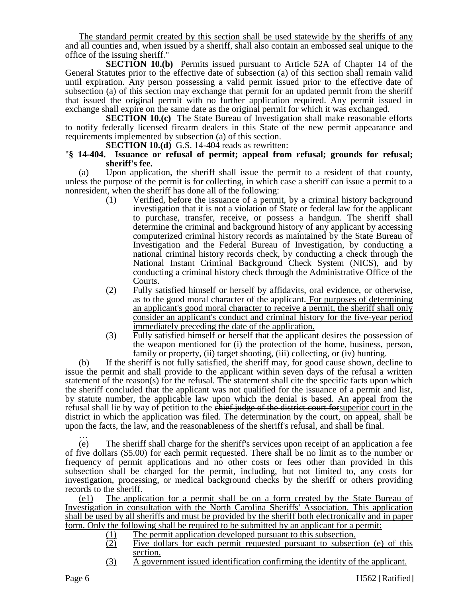The standard permit created by this section shall be used statewide by the sheriffs of any and all counties and, when issued by a sheriff, shall also contain an embossed seal unique to the office of the issuing sheriff."

**SECTION 10.(b)** Permits issued pursuant to Article 52A of Chapter 14 of the General Statutes prior to the effective date of subsection (a) of this section shall remain valid until expiration. Any person possessing a valid permit issued prior to the effective date of subsection (a) of this section may exchange that permit for an updated permit from the sheriff that issued the original permit with no further application required. Any permit issued in exchange shall expire on the same date as the original permit for which it was exchanged.

**SECTION 10.(c)** The State Bureau of Investigation shall make reasonable efforts to notify federally licensed firearm dealers in this State of the new permit appearance and requirements implemented by subsection (a) of this section.

**SECTION 10.(d)** G.S. 14-404 reads as rewritten:

#### "**§ 14-404. Issuance or refusal of permit; appeal from refusal; grounds for refusal; sheriff's fee.**

(a) Upon application, the sheriff shall issue the permit to a resident of that county, unless the purpose of the permit is for collecting, in which case a sheriff can issue a permit to a nonresident, when the sheriff has done all of the following:

- (1) Verified, before the issuance of a permit, by a criminal history background investigation that it is not a violation of State or federal law for the applicant to purchase, transfer, receive, or possess a handgun. The sheriff shall determine the criminal and background history of any applicant by accessing computerized criminal history records as maintained by the State Bureau of Investigation and the Federal Bureau of Investigation, by conducting a national criminal history records check, by conducting a check through the National Instant Criminal Background Check System (NICS), and by conducting a criminal history check through the Administrative Office of the Courts.
- (2) Fully satisfied himself or herself by affidavits, oral evidence, or otherwise, as to the good moral character of the applicant. For purposes of determining an applicant's good moral character to receive a permit, the sheriff shall only consider an applicant's conduct and criminal history for the five-year period immediately preceding the date of the application.
- (3) Fully satisfied himself or herself that the applicant desires the possession of the weapon mentioned for (i) the protection of the home, business, person, family or property, (ii) target shooting, (iii) collecting, or (iv) hunting.

(b) If the sheriff is not fully satisfied, the sheriff may, for good cause shown, decline to issue the permit and shall provide to the applicant within seven days of the refusal a written statement of the reason(s) for the refusal. The statement shall cite the specific facts upon which the sheriff concluded that the applicant was not qualified for the issuance of a permit and list, by statute number, the applicable law upon which the denial is based. An appeal from the refusal shall lie by way of petition to the chief judge of the district court for superior court in the district in which the application was filed. The determination by the court, on appeal, shall be upon the facts, the law, and the reasonableness of the sheriff's refusal, and shall be final.

… (e) The sheriff shall charge for the sheriff's services upon receipt of an application a fee of five dollars (\$5.00) for each permit requested. There shall be no limit as to the number or frequency of permit applications and no other costs or fees other than provided in this subsection shall be charged for the permit, including, but not limited to, any costs for investigation, processing, or medical background checks by the sheriff or others providing records to the sheriff.

(e1) The application for a permit shall be on a form created by the State Bureau of Investigation in consultation with the North Carolina Sheriffs' Association. This application shall be used by all sheriffs and must be provided by the sheriff both electronically and in paper form. Only the following shall be required to be submitted by an applicant for a permit:

- (1) The permit application developed pursuant to this subsection.
- (2) Five dollars for each permit requested pursuant to subsection (e) of this section.
- (3) A government issued identification confirming the identity of the applicant.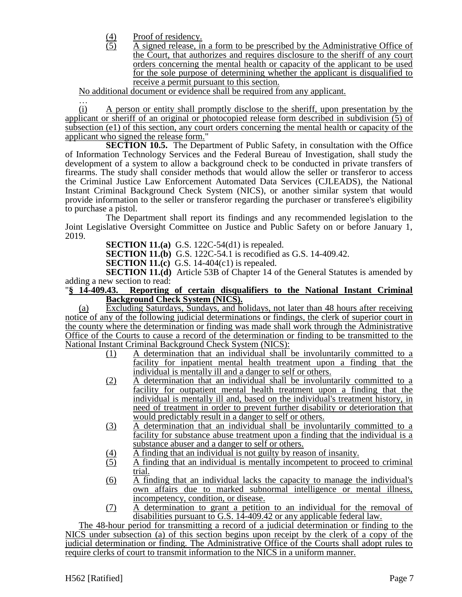- $\frac{(4)}{(5)}$  Proof of residency.<br>A signed release, in
- A signed release, in a form to be prescribed by the Administrative Office of the Court, that authorizes and requires disclosure to the sheriff of any court orders concerning the mental health or capacity of the applicant to be used for the sole purpose of determining whether the applicant is disqualified to receive a permit pursuant to this section.

No additional document or evidence shall be required from any applicant.

… (i) A person or entity shall promptly disclose to the sheriff, upon presentation by the applicant or sheriff of an original or photocopied release form described in subdivision (5) of subsection (e1) of this section, any court orders concerning the mental health or capacity of the applicant who signed the release form."

**SECTION 10.5.** The Department of Public Safety, in consultation with the Office of Information Technology Services and the Federal Bureau of Investigation, shall study the development of a system to allow a background check to be conducted in private transfers of firearms. The study shall consider methods that would allow the seller or transferor to access the Criminal Justice Law Enforcement Automated Data Services (CJLEADS), the National Instant Criminal Background Check System (NICS), or another similar system that would provide information to the seller or transferor regarding the purchaser or transferee's eligibility to purchase a pistol.

The Department shall report its findings and any recommended legislation to the Joint Legislative Oversight Committee on Justice and Public Safety on or before January 1, 2019.

**SECTION 11.(a)** G.S. 122C-54(d1) is repealed.

**SECTION 11.(b)** G.S. 122C-54.1 is recodified as G.S. 14-409.42.

**SECTION 11.(c)** G.S. 14-404(c1) is repealed.

**SECTION 11.(d)** Article 53B of Chapter 14 of the General Statutes is amended by adding a new section to read:

## "**§ 14-409.43. Reporting of certain disqualifiers to the National Instant Criminal Background Check System (NICS).**

(a) Excluding Saturdays, Sundays, and holidays, not later than 48 hours after receiving notice of any of the following judicial determinations or findings, the clerk of superior court in the county where the determination or finding was made shall work through the Administrative Office of the Courts to cause a record of the determination or finding to be transmitted to the National Instant Criminal Background Check System (NICS):

- (1) A determination that an individual shall be involuntarily committed to a facility for inpatient mental health treatment upon a finding that the individual is mentally ill and a danger to self or others.
- (2) A determination that an individual shall be involuntarily committed to a facility for outpatient mental health treatment upon a finding that the individual is mentally ill and, based on the individual's treatment history, in need of treatment in order to prevent further disability or deterioration that would predictably result in a danger to self or others.
- (3) A determination that an individual shall be involuntarily committed to a facility for substance abuse treatment upon a finding that the individual is a substance abuser and a danger to self or others.
- (4) A finding that an individual is not guilty by reason of insanity.
- (5) A finding that an individual is mentally incompetent to proceed to criminal trial.
- (6) A finding that an individual lacks the capacity to manage the individual's own affairs due to marked subnormal intelligence or mental illness, incompetency, condition, or disease.
- (7) A determination to grant a petition to an individual for the removal of disabilities pursuant to G.S. 14-409.42 or any applicable federal law.

The 48-hour period for transmitting a record of a judicial determination or finding to the NICS under subsection (a) of this section begins upon receipt by the clerk of a copy of the judicial determination or finding. The Administrative Office of the Courts shall adopt rules to require clerks of court to transmit information to the NICS in a uniform manner.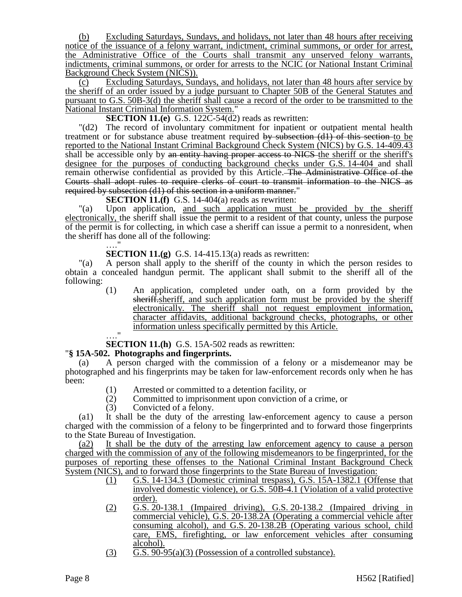(b) Excluding Saturdays, Sundays, and holidays, not later than 48 hours after receiving notice of the issuance of a felony warrant, indictment, criminal summons, or order for arrest, the Administrative Office of the Courts shall transmit any unserved felony warrants, indictments, criminal summons, or order for arrests to the NCIC (or National Instant Criminal Background Check System (NICS)).

(c) Excluding Saturdays, Sundays, and holidays, not later than 48 hours after service by the sheriff of an order issued by a judge pursuant to Chapter 50B of the General Statutes and pursuant to G.S. 50B-3(d) the sheriff shall cause a record of the order to be transmitted to the National Instant Criminal Information System."

**SECTION 11.(e)** G.S. 122C-54(d2) reads as rewritten:

"(d2) The record of involuntary commitment for inpatient or outpatient mental health treatment or for substance abuse treatment required by subsection (d1) of this section to be reported to the National Instant Criminal Background Check System (NICS) by G.S. 14-409.43 shall be accessible only by an entity having proper access to NICS the sheriff or the sheriff's designee for the purposes of conducting background checks under G.S. 14-404 and shall remain otherwise confidential as provided by this Article. The Administrative Office of the Courts shall adopt rules to require clerks of court to transmit information to the NICS as required by subsection (d1) of this section in a uniform manner."

**SECTION 11.(f)** G.S. 14-404(a) reads as rewritten:

"(a) Upon application, and such application must be provided by the sheriff electronically, the sheriff shall issue the permit to a resident of that county, unless the purpose of the permit is for collecting, in which case a sheriff can issue a permit to a nonresident, when the sheriff has done all of the following: …."

## **SECTION 11.(g)** G.S. 14-415.13(a) reads as rewritten:

"(a) A person shall apply to the sheriff of the county in which the person resides to obtain a concealed handgun permit. The applicant shall submit to the sheriff all of the following:

(1) An application, completed under oath, on a form provided by the sheriff.sheriff, and such application form must be provided by the sheriff electronically. The sheriff shall not request employment information, character affidavits, additional background checks, photographs, or other information unless specifically permitted by this Article.

…."

**SECTION 11.(h)** G.S. 15A-502 reads as rewritten:

## "**§ 15A-502. Photographs and fingerprints.**

A person charged with the commission of a felony or a misdemeanor may be photographed and his fingerprints may be taken for law-enforcement records only when he has been:

- (1) Arrested or committed to a detention facility, or<br>(2) Committed to imprisonment upon conviction of
- Committed to imprisonment upon conviction of a crime, or
- (3) Convicted of a felony.

(a1) It shall be the duty of the arresting law-enforcement agency to cause a person charged with the commission of a felony to be fingerprinted and to forward those fingerprints to the State Bureau of Investigation.

(a2) It shall be the duty of the arresting law enforcement agency to cause a person charged with the commission of any of the following misdemeanors to be fingerprinted, for the purposes of reporting these offenses to the National Criminal Instant Background Check System (NICS), and to forward those fingerprints to the State Bureau of Investigation:

- (1) G.S. 14-134.3 (Domestic criminal trespass), G.S. 15A-1382.1 (Offense that involved domestic violence), or G.S. 50B-4.1 (Violation of a valid protective order).
- (2) G.S. 20-138.1 (Impaired driving), G.S. 20-138.2 (Impaired driving in commercial vehicle), G.S. 20-138.2A (Operating a commercial vehicle after consuming alcohol), and G.S. 20-138.2B (Operating various school, child care, EMS, firefighting, or law enforcement vehicles after consuming alcohol).
- $(G. S. 90-95(a)(3)$  (Possession of a controlled substance).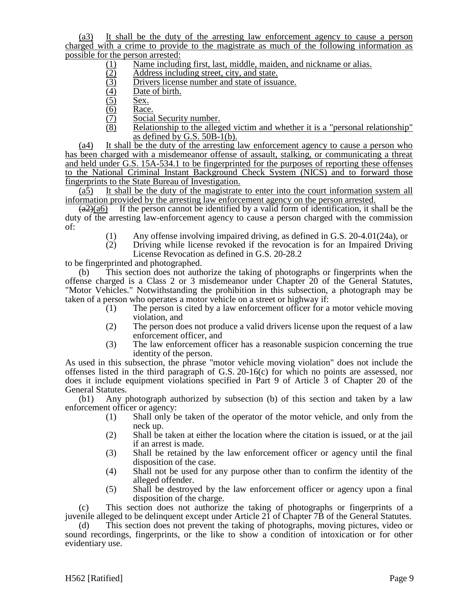(a3) It shall be the duty of the arresting law enforcement agency to cause a person charged with a crime to provide to the magistrate as much of the following information as possible for the person arrested:

- (1) Name including first, last, middle, maiden, and nickname or alias.<br>
<u>(3)</u> Address including street, city, and state.<br>
<u>(3)</u> Drivers license number and state of issuance.
- Address including street, city, and state.
- (3) Drivers license number and state of issuance.<br>
(4) Date of birth.<br>
(5) <u>Sex.</u><br>
(6) Race.<br>
(7) Social Security number.
- Date of birth.
- Sex.
- Race.
- Social Security number.
- (8) Relationship to the alleged victim and whether it is a "personal relationship" as defined by G.S.  $50B-1(b)$ .

(a4) It shall be the duty of the arresting law enforcement agency to cause a person who has been charged with a misdemeanor offense of assault, stalking, or communicating a threat and held under G.S. 15A-534.1 to be fingerprinted for the purposes of reporting these offenses to the National Criminal Instant Background Check System (NICS) and to forward those fingerprints to the State Bureau of Investigation.

 $(a5)$  It shall be the duty of the magistrate to enter into the court information system all information provided by the arresting law enforcement agency on the person arrested.

 $(a2)(a6)$  If the person cannot be identified by a valid form of identification, it shall be the duty of the arresting law-enforcement agency to cause a person charged with the commission of:

- (1) Any offense involving impaired driving, as defined in G.S. 20-4.01(24a), or
- (2) Driving while license revoked if the revocation is for an Impaired Driving License Revocation as defined in G.S. 20-28.2

to be fingerprinted and photographed.

(b) This section does not authorize the taking of photographs or fingerprints when the offense charged is a Class 2 or 3 misdemeanor under Chapter 20 of the General Statutes, "Motor Vehicles." Notwithstanding the prohibition in this subsection, a photograph may be taken of a person who operates a motor vehicle on a street or highway if:

- (1) The person is cited by a law enforcement officer for a motor vehicle moving violation, and
- (2) The person does not produce a valid drivers license upon the request of a law enforcement officer, and
- (3) The law enforcement officer has a reasonable suspicion concerning the true identity of the person.

As used in this subsection, the phrase "motor vehicle moving violation" does not include the offenses listed in the third paragraph of G.S. 20-16(c) for which no points are assessed, nor does it include equipment violations specified in Part 9 of Article 3 of Chapter 20 of the General Statutes.

(b1) Any photograph authorized by subsection (b) of this section and taken by a law enforcement officer or agency:

- (1) Shall only be taken of the operator of the motor vehicle, and only from the neck up.
- (2) Shall be taken at either the location where the citation is issued, or at the jail if an arrest is made.
- (3) Shall be retained by the law enforcement officer or agency until the final disposition of the case.
- (4) Shall not be used for any purpose other than to confirm the identity of the alleged offender.
- (5) Shall be destroyed by the law enforcement officer or agency upon a final disposition of the charge.

(c) This section does not authorize the taking of photographs or fingerprints of a juvenile alleged to be delinquent except under Article 21 of Chapter 7B of the General Statutes.

(d) This section does not prevent the taking of photographs, moving pictures, video or sound recordings, fingerprints, or the like to show a condition of intoxication or for other evidentiary use.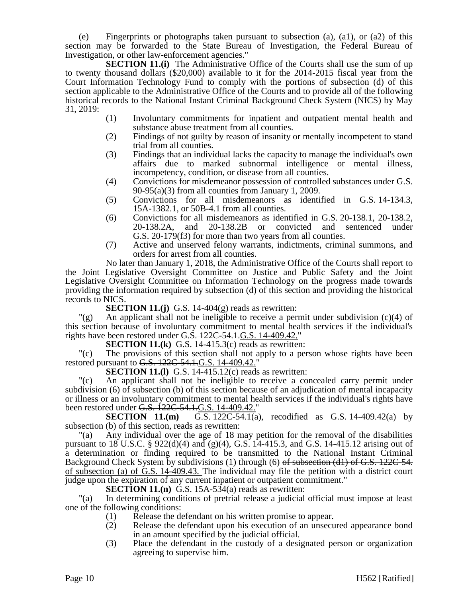(e) Fingerprints or photographs taken pursuant to subsection (a), (a1), or (a2) of this section may be forwarded to the State Bureau of Investigation, the Federal Bureau of Investigation, or other law-enforcement agencies."

**SECTION 11.(i)** The Administrative Office of the Courts shall use the sum of up to twenty thousand dollars (\$20,000) available to it for the 2014-2015 fiscal year from the Court Information Technology Fund to comply with the portions of subsection (d) of this section applicable to the Administrative Office of the Courts and to provide all of the following historical records to the National Instant Criminal Background Check System (NICS) by May 31, 2019:

- (1) Involuntary commitments for inpatient and outpatient mental health and substance abuse treatment from all counties.
- (2) Findings of not guilty by reason of insanity or mentally incompetent to stand trial from all counties.
- (3) Findings that an individual lacks the capacity to manage the individual's own affairs due to marked subnormal intelligence or mental illness, incompetency, condition, or disease from all counties.
- (4) Convictions for misdemeanor possession of controlled substances under G.S. 90-95(a)(3) from all counties from January 1, 2009.
- (5) Convictions for all misdemeanors as identified in G.S. 14-134.3, 15A-1382.1, or 50B-4.1 from all counties.
- (6) Convictions for all misdemeanors as identified in G.S. 20-138.1, 20-138.2, 20-138.2A, and 20-138.2B or convicted and sentenced under G.S. 20-179(f3) for more than two years from all counties.
- (7) Active and unserved felony warrants, indictments, criminal summons, and orders for arrest from all counties.

No later than January 1, 2018, the Administrative Office of the Courts shall report to the Joint Legislative Oversight Committee on Justice and Public Safety and the Joint Legislative Oversight Committee on Information Technology on the progress made towards providing the information required by subsection (d) of this section and providing the historical records to NICS.

**SECTION 11.(j)** G.S. 14-404 $(g)$  reads as rewritten:

 $\Gamma(g)$  An applicant shall not be ineligible to receive a permit under subdivision (c)(4) of this section because of involuntary commitment to mental health services if the individual's rights have been restored under G.S. 122C-54.1.G.S. 14-409.42."

**SECTION 11.(k)** G.S. 14-415.3(c) reads as rewritten:

"(c) The provisions of this section shall not apply to a person whose rights have been restored pursuant to G.S. 122C-54.1.G.S. 14-409.42.

**SECTION 11.(1)** G.S. 14-415.12(c) reads as rewritten:

"(c) An applicant shall not be ineligible to receive a concealed carry permit under subdivision (6) of subsection (b) of this section because of an adjudication of mental incapacity or illness or an involuntary commitment to mental health services if the individual's rights have been restored under G.S. 122C-54.1.G.S. 14-409.42."

**SECTION 11.(m)** G.S. 122C-54.1(a), recodified as G.S. 14-409.42(a) by subsection (b) of this section, reads as rewritten:

"(a) Any individual over the age of 18 may petition for the removal of the disabilities pursuant to 18 U.S.C. § 922(d)(4) and (g)(4), G.S. 14-415.3, and G.S. 14-415.12 arising out of a determination or finding required to be transmitted to the National Instant Criminal Background Check System by subdivisions (1) through (6) of subsection (d1) of G.S. 122C-54. of subsection (a) of G.S. 14-409.43. The individual may file the petition with a district court judge upon the expiration of any current inpatient or outpatient commitment."

**SECTION 11.(n)** G.S. 15A-534(a) reads as rewritten:

"(a) In determining conditions of pretrial release a judicial official must impose at least one of the following conditions:

- (1) Release the defendant on his written promise to appear.
- (2) Release the defendant upon his execution of an unsecured appearance bond in an amount specified by the judicial official.
- (3) Place the defendant in the custody of a designated person or organization agreeing to supervise him.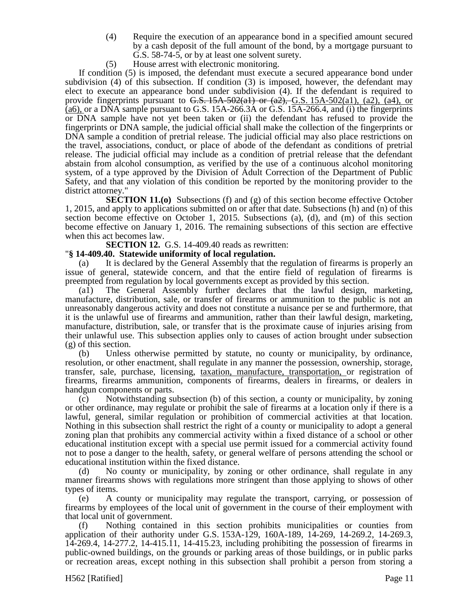- (4) Require the execution of an appearance bond in a specified amount secured by a cash deposit of the full amount of the bond, by a mortgage pursuant to G.S. 58-74-5, or by at least one solvent surety.
- (5) House arrest with electronic monitoring.

If condition (5) is imposed, the defendant must execute a secured appearance bond under subdivision (4) of this subsection. If condition (3) is imposed, however, the defendant may elect to execute an appearance bond under subdivision (4). If the defendant is required to provide fingerprints pursuant to G.S.  $15A-502(a1)$  or  $(a2)$ ,  $G.S. 15A-502(a1)$ ,  $(a2)$ ,  $(a4)$ , or (a6), or a DNA sample pursuant to G.S. 15A-266.3A or G.S. 15A-266.4, and (i) the fingerprints or DNA sample have not yet been taken or (ii) the defendant has refused to provide the fingerprints or DNA sample, the judicial official shall make the collection of the fingerprints or DNA sample a condition of pretrial release. The judicial official may also place restrictions on the travel, associations, conduct, or place of abode of the defendant as conditions of pretrial release. The judicial official may include as a condition of pretrial release that the defendant abstain from alcohol consumption, as verified by the use of a continuous alcohol monitoring system, of a type approved by the Division of Adult Correction of the Department of Public Safety, and that any violation of this condition be reported by the monitoring provider to the district attorney."

**SECTION 11.(0)** Subsections (f) and (g) of this section become effective October 1, 2015, and apply to applications submitted on or after that date. Subsections (h) and (n) of this section become effective on October 1, 2015. Subsections (a), (d), and (m) of this section become effective on January 1, 2016. The remaining subsections of this section are effective when this act becomes law.

**SECTION 12.** G.S. 14-409.40 reads as rewritten:

#### "**§ 14-409.40. Statewide uniformity of local regulation.**

(a) It is declared by the General Assembly that the regulation of firearms is properly an issue of general, statewide concern, and that the entire field of regulation of firearms is preempted from regulation by local governments except as provided by this section.

(a1) The General Assembly further declares that the lawful design, marketing, manufacture, distribution, sale, or transfer of firearms or ammunition to the public is not an unreasonably dangerous activity and does not constitute a nuisance per se and furthermore, that it is the unlawful use of firearms and ammunition, rather than their lawful design, marketing, manufacture, distribution, sale, or transfer that is the proximate cause of injuries arising from their unlawful use. This subsection applies only to causes of action brought under subsection (g) of this section.

(b) Unless otherwise permitted by statute, no county or municipality, by ordinance, resolution, or other enactment, shall regulate in any manner the possession, ownership, storage, transfer, sale, purchase, licensing, taxation, manufacture, transportation, or registration of firearms, firearms ammunition, components of firearms, dealers in firearms, or dealers in handgun components or parts.

(c) Notwithstanding subsection (b) of this section, a county or municipality, by zoning or other ordinance, may regulate or prohibit the sale of firearms at a location only if there is a lawful, general, similar regulation or prohibition of commercial activities at that location. Nothing in this subsection shall restrict the right of a county or municipality to adopt a general zoning plan that prohibits any commercial activity within a fixed distance of a school or other educational institution except with a special use permit issued for a commercial activity found not to pose a danger to the health, safety, or general welfare of persons attending the school or educational institution within the fixed distance.

(d) No county or municipality, by zoning or other ordinance, shall regulate in any manner firearms shows with regulations more stringent than those applying to shows of other types of items.

(e) A county or municipality may regulate the transport, carrying, or possession of firearms by employees of the local unit of government in the course of their employment with that local unit of government.

(f) Nothing contained in this section prohibits municipalities or counties from application of their authority under G.S. 153A-129, 160A-189, 14-269, 14-269.2, 14-269.3, 14-269.4, 14-277.2, 14-415.11, 14-415.23, including prohibiting the possession of firearms in public-owned buildings, on the grounds or parking areas of those buildings, or in public parks or recreation areas, except nothing in this subsection shall prohibit a person from storing a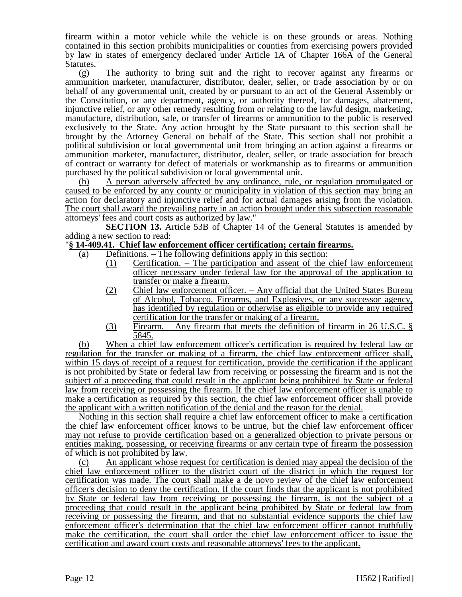firearm within a motor vehicle while the vehicle is on these grounds or areas. Nothing contained in this section prohibits municipalities or counties from exercising powers provided by law in states of emergency declared under Article 1A of Chapter 166A of the General Statutes.

(g) The authority to bring suit and the right to recover against any firearms or ammunition marketer, manufacturer, distributor, dealer, seller, or trade association by or on behalf of any governmental unit, created by or pursuant to an act of the General Assembly or the Constitution, or any department, agency, or authority thereof, for damages, abatement, injunctive relief, or any other remedy resulting from or relating to the lawful design, marketing, manufacture, distribution, sale, or transfer of firearms or ammunition to the public is reserved exclusively to the State. Any action brought by the State pursuant to this section shall be brought by the Attorney General on behalf of the State. This section shall not prohibit a political subdivision or local governmental unit from bringing an action against a firearms or ammunition marketer, manufacturer, distributor, dealer, seller, or trade association for breach of contract or warranty for defect of materials or workmanship as to firearms or ammunition purchased by the political subdivision or local governmental unit.

(h) A person adversely affected by any ordinance, rule, or regulation promulgated or caused to be enforced by any county or municipality in violation of this section may bring an action for declaratory and injunctive relief and for actual damages arising from the violation. The court shall award the prevailing party in an action brought under this subsection reasonable attorneys' fees and court costs as authorized by law."

**SECTION 13.** Article 53B of Chapter 14 of the General Statutes is amended by adding a new section to read:

## "**§ 14-409.41. Chief law enforcement officer certification; certain firearms.**

- (a) Definitions. The following definitions apply in this section:
	- (1) Certification. The participation and assent of the chief law enforcement officer necessary under federal law for the approval of the application to transfer or make a firearm.
	- (2) Chief law enforcement officer. Any official that the United States Bureau of Alcohol, Tobacco, Firearms, and Explosives, or any successor agency, has identified by regulation or otherwise as eligible to provide any required certification for the transfer or making of a firearm.
	- (3) Firearm. Any firearm that meets the definition of firearm in 26 U.S.C. § 5845.

(b) When a chief law enforcement officer's certification is required by federal law or regulation for the transfer or making of a firearm, the chief law enforcement officer shall, within 15 days of receipt of a request for certification, provide the certification if the applicant is not prohibited by State or federal law from receiving or possessing the firearm and is not the subject of a proceeding that could result in the applicant being prohibited by State or federal law from receiving or possessing the firearm. If the chief law enforcement officer is unable to make a certification as required by this section, the chief law enforcement officer shall provide the applicant with a written notification of the denial and the reason for the denial.

Nothing in this section shall require a chief law enforcement officer to make a certification the chief law enforcement officer knows to be untrue, but the chief law enforcement officer may not refuse to provide certification based on a generalized objection to private persons or entities making, possessing, or receiving firearms or any certain type of firearm the possession of which is not prohibited by law.

(c) An applicant whose request for certification is denied may appeal the decision of the chief law enforcement officer to the district court of the district in which the request for certification was made. The court shall make a de novo review of the chief law enforcement officer's decision to deny the certification. If the court finds that the applicant is not prohibited by State or federal law from receiving or possessing the firearm, is not the subject of a proceeding that could result in the applicant being prohibited by State or federal law from receiving or possessing the firearm, and that no substantial evidence supports the chief law enforcement officer's determination that the chief law enforcement officer cannot truthfully make the certification, the court shall order the chief law enforcement officer to issue the certification and award court costs and reasonable attorneys' fees to the applicant.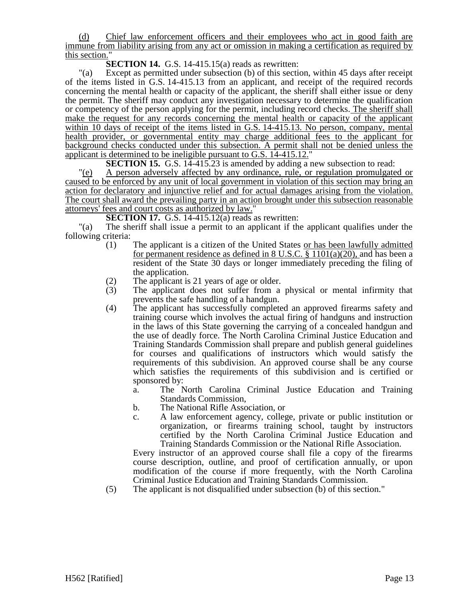(d) Chief law enforcement officers and their employees who act in good faith are immune from liability arising from any act or omission in making a certification as required by this section."

**SECTION 14.** G.S. 14-415.15(a) reads as rewritten:

"(a) Except as permitted under subsection (b) of this section, within 45 days after receipt of the items listed in G.S. 14-415.13 from an applicant, and receipt of the required records concerning the mental health or capacity of the applicant, the sheriff shall either issue or deny the permit. The sheriff may conduct any investigation necessary to determine the qualification or competency of the person applying for the permit, including record checks. The sheriff shall make the request for any records concerning the mental health or capacity of the applicant within 10 days of receipt of the items listed in G.S. 14-415.13. No person, company, mental health provider, or governmental entity may charge additional fees to the applicant for background checks conducted under this subsection. A permit shall not be denied unless the applicant is determined to be ineligible pursuant to G.S.  $14-415.12$ ."

**SECTION 15.** G.S. 14-415.23 is amended by adding a new subsection to read:

"(e) A person adversely affected by any ordinance, rule, or regulation promulgated or caused to be enforced by any unit of local government in violation of this section may bring an action for declaratory and injunctive relief and for actual damages arising from the violation. The court shall award the prevailing party in an action brought under this subsection reasonable attorneys' fees and court costs as authorized by law."

**SECTION 17.** G.S. 14-415.12(a) reads as rewritten:

"(a) The sheriff shall issue a permit to an applicant if the applicant qualifies under the following criteria:

- (1) The applicant is a citizen of the United States or has been lawfully admitted for permanent residence as defined in 8 U.S.C. § 1101(a)(20), and has been a resident of the State 30 days or longer immediately preceding the filing of the application.
- (2) The applicant is 21 years of age or older.<br>(3) The applicant does not suffer from a
- The applicant does not suffer from a physical or mental infirmity that prevents the safe handling of a handgun.
- (4) The applicant has successfully completed an approved firearms safety and training course which involves the actual firing of handguns and instruction in the laws of this State governing the carrying of a concealed handgun and the use of deadly force. The North Carolina Criminal Justice Education and Training Standards Commission shall prepare and publish general guidelines for courses and qualifications of instructors which would satisfy the requirements of this subdivision. An approved course shall be any course which satisfies the requirements of this subdivision and is certified or sponsored by:
	- a. The North Carolina Criminal Justice Education and Training Standards Commission,
	- b. The National Rifle Association, or
	- c. A law enforcement agency, college, private or public institution or organization, or firearms training school, taught by instructors certified by the North Carolina Criminal Justice Education and Training Standards Commission or the National Rifle Association.

Every instructor of an approved course shall file a copy of the firearms course description, outline, and proof of certification annually, or upon modification of the course if more frequently, with the North Carolina Criminal Justice Education and Training Standards Commission.

(5) The applicant is not disqualified under subsection (b) of this section."